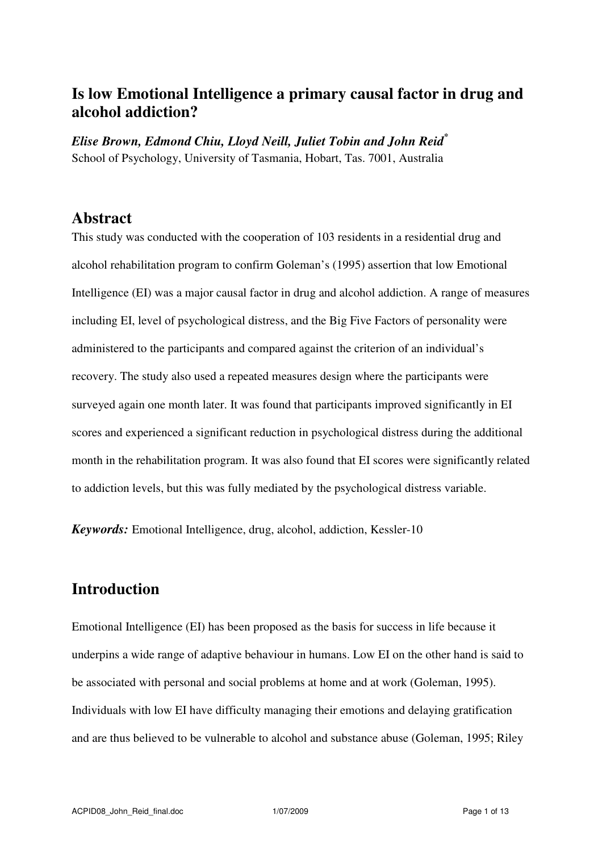# **Is low Emotional Intelligence a primary causal factor in drug and alcohol addiction?**

*Elise Brown, Edmond Chiu, Lloyd Neill, Juliet Tobin and John Reid\** School of Psychology, University of Tasmania, Hobart, Tas. 7001, Australia

## **Abstract**

This study was conducted with the cooperation of 103 residents in a residential drug and alcohol rehabilitation program to confirm Goleman's (1995) assertion that low Emotional Intelligence (EI) was a major causal factor in drug and alcohol addiction. A range of measures including EI, level of psychological distress, and the Big Five Factors of personality were administered to the participants and compared against the criterion of an individual's recovery. The study also used a repeated measures design where the participants were surveyed again one month later. It was found that participants improved significantly in EI scores and experienced a significant reduction in psychological distress during the additional month in the rehabilitation program. It was also found that EI scores were significantly related to addiction levels, but this was fully mediated by the psychological distress variable.

*Keywords:* Emotional Intelligence, drug, alcohol, addiction, Kessler-10

# **Introduction**

Emotional Intelligence (EI) has been proposed as the basis for success in life because it underpins a wide range of adaptive behaviour in humans. Low EI on the other hand is said to be associated with personal and social problems at home and at work (Goleman, 1995). Individuals with low EI have difficulty managing their emotions and delaying gratification and are thus believed to be vulnerable to alcohol and substance abuse (Goleman, 1995; Riley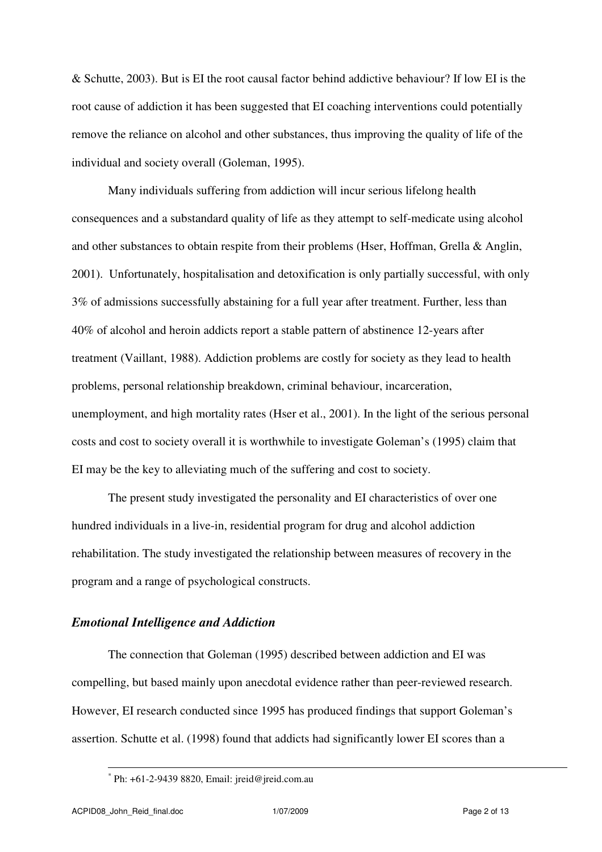& Schutte, 2003). But is EI the root causal factor behind addictive behaviour? If low EI is the root cause of addiction it has been suggested that EI coaching interventions could potentially remove the reliance on alcohol and other substances, thus improving the quality of life of the individual and society overall (Goleman, 1995).

Many individuals suffering from addiction will incur serious lifelong health consequences and a substandard quality of life as they attempt to self-medicate using alcohol and other substances to obtain respite from their problems (Hser, Hoffman, Grella & Anglin, 2001). Unfortunately, hospitalisation and detoxification is only partially successful, with only 3% of admissions successfully abstaining for a full year after treatment. Further, less than 40% of alcohol and heroin addicts report a stable pattern of abstinence 12-years after treatment (Vaillant, 1988). Addiction problems are costly for society as they lead to health problems, personal relationship breakdown, criminal behaviour, incarceration, unemployment, and high mortality rates (Hser et al., 2001). In the light of the serious personal costs and cost to society overall it is worthwhile to investigate Goleman's (1995) claim that EI may be the key to alleviating much of the suffering and cost to society.

The present study investigated the personality and EI characteristics of over one hundred individuals in a live-in, residential program for drug and alcohol addiction rehabilitation. The study investigated the relationship between measures of recovery in the program and a range of psychological constructs.

#### *Emotional Intelligence and Addiction*

The connection that Goleman (1995) described between addiction and EI was compelling, but based mainly upon anecdotal evidence rather than peer-reviewed research. However, EI research conducted since 1995 has produced findings that support Goleman's assertion. Schutte et al. (1998) found that addicts had significantly lower EI scores than a

 $\overline{a}$ 

<sup>\*</sup> Ph: +61-2-9439 8820, Email: jreid@jreid.com.au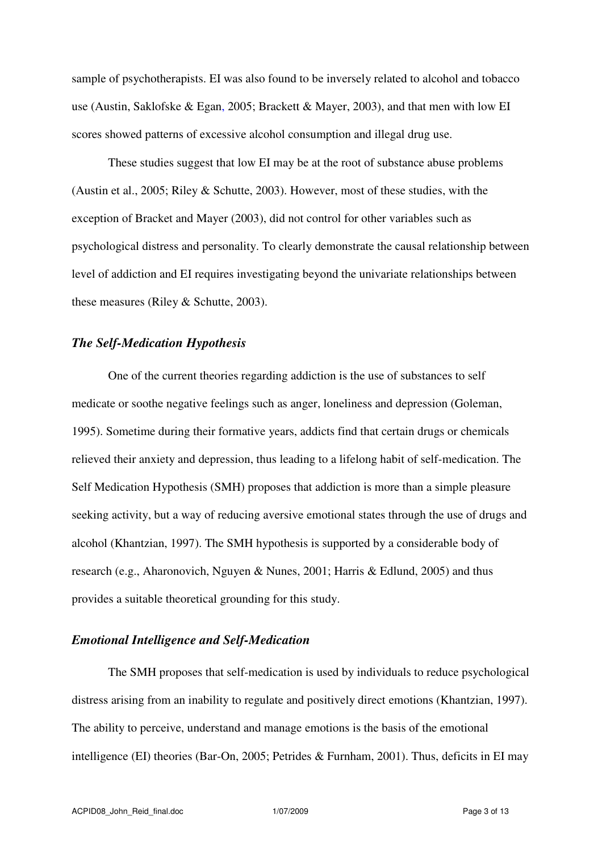sample of psychotherapists. EI was also found to be inversely related to alcohol and tobacco use (Austin, Saklofske & Egan, 2005; Brackett & Mayer, 2003), and that men with low EI scores showed patterns of excessive alcohol consumption and illegal drug use.

These studies suggest that low EI may be at the root of substance abuse problems (Austin et al., 2005; Riley & Schutte, 2003). However, most of these studies, with the exception of Bracket and Mayer (2003), did not control for other variables such as psychological distress and personality. To clearly demonstrate the causal relationship between level of addiction and EI requires investigating beyond the univariate relationships between these measures (Riley & Schutte, 2003).

#### *The Self-Medication Hypothesis*

One of the current theories regarding addiction is the use of substances to self medicate or soothe negative feelings such as anger, loneliness and depression (Goleman, 1995). Sometime during their formative years, addicts find that certain drugs or chemicals relieved their anxiety and depression, thus leading to a lifelong habit of self-medication. The Self Medication Hypothesis (SMH) proposes that addiction is more than a simple pleasure seeking activity, but a way of reducing aversive emotional states through the use of drugs and alcohol (Khantzian, 1997). The SMH hypothesis is supported by a considerable body of research (e.g., Aharonovich, Nguyen & Nunes, 2001; Harris & Edlund, 2005) and thus provides a suitable theoretical grounding for this study.

#### *Emotional Intelligence and Self-Medication*

The SMH proposes that self-medication is used by individuals to reduce psychological distress arising from an inability to regulate and positively direct emotions (Khantzian, 1997). The ability to perceive, understand and manage emotions is the basis of the emotional intelligence (EI) theories (Bar-On, 2005; Petrides & Furnham, 2001). Thus, deficits in EI may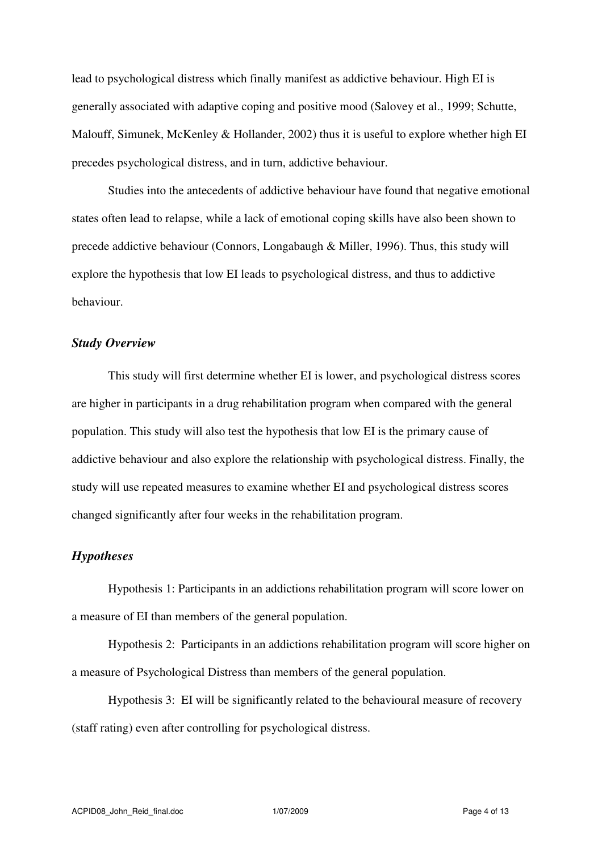lead to psychological distress which finally manifest as addictive behaviour. High EI is generally associated with adaptive coping and positive mood (Salovey et al., 1999; Schutte, Malouff, Simunek, McKenley & Hollander, 2002) thus it is useful to explore whether high EI precedes psychological distress, and in turn, addictive behaviour.

Studies into the antecedents of addictive behaviour have found that negative emotional states often lead to relapse, while a lack of emotional coping skills have also been shown to precede addictive behaviour (Connors, Longabaugh & Miller, 1996). Thus, this study will explore the hypothesis that low EI leads to psychological distress, and thus to addictive behaviour.

#### *Study Overview*

This study will first determine whether EI is lower, and psychological distress scores are higher in participants in a drug rehabilitation program when compared with the general population. This study will also test the hypothesis that low EI is the primary cause of addictive behaviour and also explore the relationship with psychological distress. Finally, the study will use repeated measures to examine whether EI and psychological distress scores changed significantly after four weeks in the rehabilitation program.

#### *Hypotheses*

Hypothesis 1: Participants in an addictions rehabilitation program will score lower on a measure of EI than members of the general population.

Hypothesis 2: Participants in an addictions rehabilitation program will score higher on a measure of Psychological Distress than members of the general population.

Hypothesis 3: EI will be significantly related to the behavioural measure of recovery (staff rating) even after controlling for psychological distress.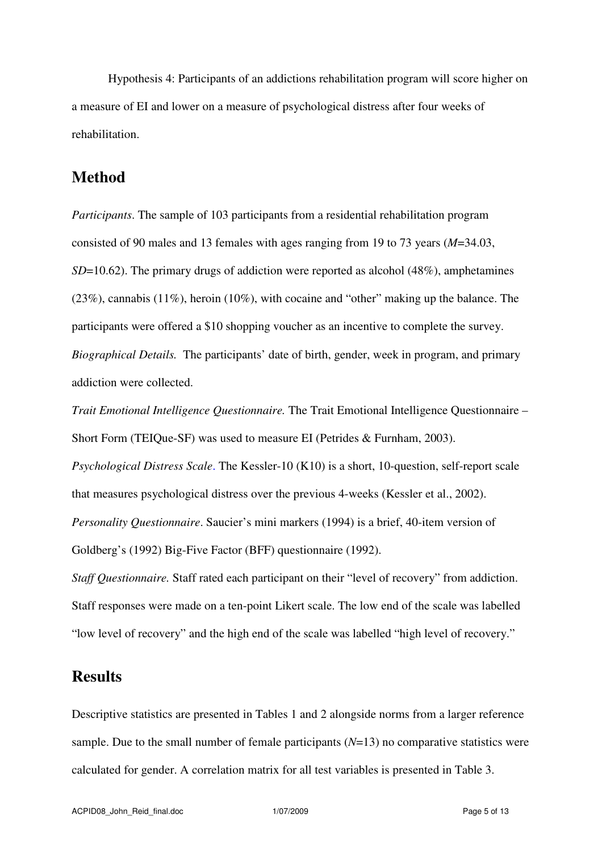Hypothesis 4: Participants of an addictions rehabilitation program will score higher on a measure of EI and lower on a measure of psychological distress after four weeks of rehabilitation.

## **Method**

*Participants*. The sample of 103 participants from a residential rehabilitation program consisted of 90 males and 13 females with ages ranging from 19 to 73 years (*M*=34.03, *SD*=10.62). The primary drugs of addiction were reported as alcohol (48%), amphetamines  $(23\%)$ , cannabis  $(11\%)$ , heroin  $(10\%)$ , with cocaine and "other" making up the balance. The participants were offered a \$10 shopping voucher as an incentive to complete the survey. *Biographical Details.* The participants' date of birth, gender, week in program, and primary addiction were collected.

*Trait Emotional Intelligence Questionnaire.* The Trait Emotional Intelligence Questionnaire – Short Form (TEIQue-SF) was used to measure EI (Petrides & Furnham, 2003).

*Psychological Distress Scale*. The Kessler-10 (K10) is a short, 10-question, self-report scale that measures psychological distress over the previous 4-weeks (Kessler et al., 2002). *Personality Questionnaire*. Saucier's mini markers (1994) is a brief, 40-item version of Goldberg's (1992) Big-Five Factor (BFF) questionnaire (1992).

*Staff Questionnaire.* Staff rated each participant on their "level of recovery" from addiction. Staff responses were made on a ten-point Likert scale. The low end of the scale was labelled "low level of recovery" and the high end of the scale was labelled "high level of recovery."

### **Results**

Descriptive statistics are presented in Tables 1 and 2 alongside norms from a larger reference sample. Due to the small number of female participants (*N*=13) no comparative statistics were calculated for gender. A correlation matrix for all test variables is presented in Table 3.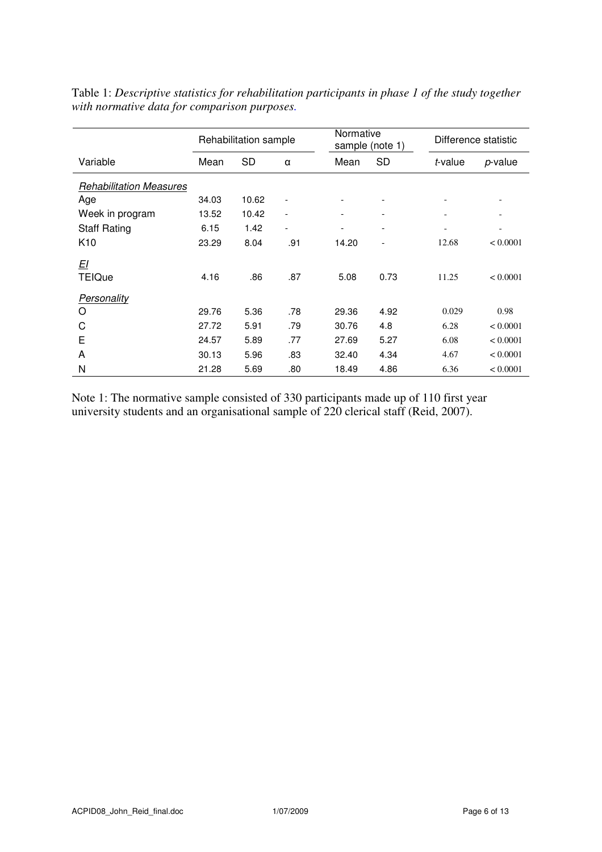|                                | Rehabilitation sample |           |                          |                          | Normative<br>sample (note 1) |                          | Difference statistic     |  |
|--------------------------------|-----------------------|-----------|--------------------------|--------------------------|------------------------------|--------------------------|--------------------------|--|
| Variable                       | Mean                  | <b>SD</b> | α                        | Mean                     | <b>SD</b>                    | t-value                  | p-value                  |  |
| <b>Rehabilitation Measures</b> |                       |           |                          |                          |                              |                          |                          |  |
| Age                            | 34.03                 | 10.62     | $\overline{a}$           |                          |                              |                          |                          |  |
| Week in program                | 13.52                 | 10.42     | $\overline{\phantom{a}}$ | $\overline{a}$           |                              |                          |                          |  |
| <b>Staff Rating</b>            | 6.15                  | 1.42      | $\overline{\phantom{a}}$ | $\overline{\phantom{a}}$ | $\overline{\phantom{a}}$     | $\overline{\phantom{0}}$ | $\overline{\phantom{a}}$ |  |
| K10                            | 23.29                 | 8.04      | .91                      | 14.20                    | $\overline{\phantom{a}}$     | 12.68                    | < 0.0001                 |  |
| <u>ΕΙ</u>                      |                       |           |                          |                          |                              |                          |                          |  |
| TEIQue                         | 4.16                  | .86       | .87                      | 5.08                     | 0.73                         | 11.25                    | < 0.0001                 |  |
| Personality                    |                       |           |                          |                          |                              |                          |                          |  |
| O                              | 29.76                 | 5.36      | .78                      | 29.36                    | 4.92                         | 0.029                    | 0.98                     |  |
| C                              | 27.72                 | 5.91      | .79                      | 30.76                    | 4.8                          | 6.28                     | < 0.0001                 |  |
| E                              | 24.57                 | 5.89      | .77                      | 27.69                    | 5.27                         | 6.08                     | < 0.0001                 |  |
| A                              | 30.13                 | 5.96      | .83                      | 32.40                    | 4.34                         | 4.67                     | < 0.0001                 |  |
| N                              | 21.28                 | 5.69      | .80                      | 18.49                    | 4.86                         | 6.36                     | < 0.0001                 |  |

Table 1: *Descriptive statistics for rehabilitation participants in phase 1 of the study together with normative data for comparison purposes.* 

Note 1: The normative sample consisted of 330 participants made up of 110 first year university students and an organisational sample of 220 clerical staff (Reid, 2007).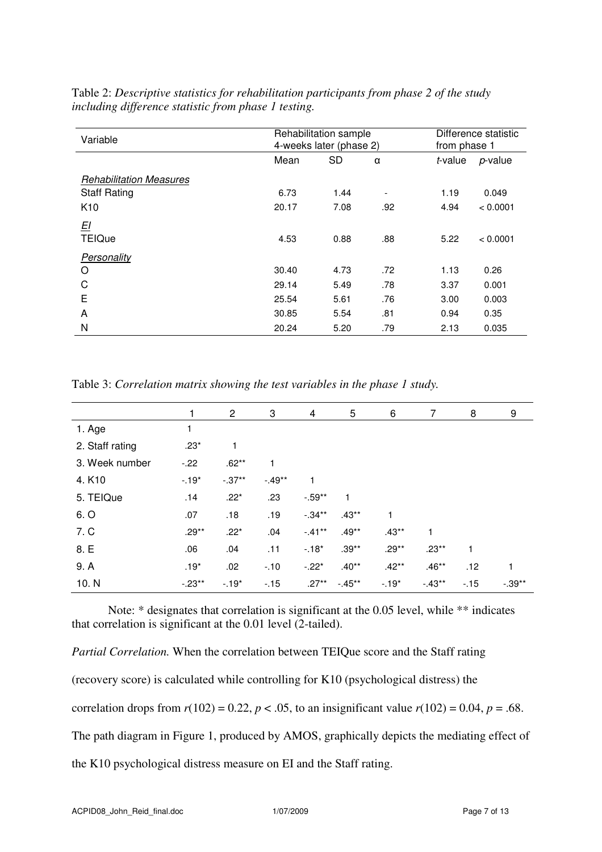| Variable                       | Rehabilitation sample<br>4-weeks later (phase 2) |           |                          | Difference statistic<br>from phase 1 |            |  |
|--------------------------------|--------------------------------------------------|-----------|--------------------------|--------------------------------------|------------|--|
|                                | Mean                                             | <b>SD</b> | α                        | t-value                              | $p$ -value |  |
| <b>Rehabilitation Measures</b> |                                                  |           |                          |                                      |            |  |
| <b>Staff Rating</b>            | 6.73                                             | 1.44      | $\overline{\phantom{a}}$ | 1.19                                 | 0.049      |  |
| K10                            | 20.17                                            | 7.08      | .92                      | 4.94                                 | < 0.0001   |  |
| El                             |                                                  |           |                          |                                      |            |  |
| TEIQue                         | 4.53                                             | 0.88      | .88                      | 5.22                                 | < 0.0001   |  |
| Personality                    |                                                  |           |                          |                                      |            |  |
| O                              | 30.40                                            | 4.73      | .72                      | 1.13                                 | 0.26       |  |
| C                              | 29.14                                            | 5.49      | .78                      | 3.37                                 | 0.001      |  |
| E                              | 25.54                                            | 5.61      | .76                      | 3.00                                 | 0.003      |  |
| Α                              | 30.85                                            | 5.54      | .81                      | 0.94                                 | 0.35       |  |
| N                              | 20.24                                            | 5.20      | .79                      | 2.13                                 | 0.035      |  |

Table 2: *Descriptive statistics for rehabilitation participants from phase 2 of the study including difference statistic from phase 1 testing.* 

Table 3: *Correlation matrix showing the test variables in the phase 1 study.* 

|                 | 1        | $\mathbf{2}$ | 3        | 4         | 5        | 6       | 7        | 8     | 9        |
|-----------------|----------|--------------|----------|-----------|----------|---------|----------|-------|----------|
| 1. Age          |          |              |          |           |          |         |          |       |          |
| 2. Staff rating | $.23*$   | 1            |          |           |          |         |          |       |          |
| 3. Week number  | $-.22$   | $.62**$      | 1        |           |          |         |          |       |          |
| 4. K10          | $-19*$   | $-.37**$     | $-.49**$ | 1         |          |         |          |       |          |
| 5. TEIQue       | .14      | $.22*$       | .23      | $-.59**$  | 1        |         |          |       |          |
| 6. O            | .07      | .18          | .19      | $-0.34**$ | $.43**$  |         |          |       |          |
| 7. C            | $.29**$  | $.22*$       | .04      | $-.41***$ | $.49**$  | $.43**$ |          |       |          |
| 8. E            | .06      | .04          | .11      | $-18*$    | $.39**$  | $.29**$ | $.23**$  | 1     |          |
| 9. A            | $.19*$   | .02          | $-10$    | $-.22*$   | $.40**$  | $.42**$ | $.46**$  | .12   | 1        |
| 10. N           | $-.23**$ | $-19*$       | $-15$    | $.27**$   | $-.45**$ | $-19*$  | $-.43**$ | $-15$ | $-.39**$ |

Note: \* designates that correlation is significant at the 0.05 level, while \*\* indicates that correlation is significant at the 0.01 level (2-tailed).

*Partial Correlation.* When the correlation between TEIQue score and the Staff rating (recovery score) is calculated while controlling for K10 (psychological distress) the correlation drops from  $r(102) = 0.22$ ,  $p < .05$ , to an insignificant value  $r(102) = 0.04$ ,  $p = .68$ . The path diagram in Figure 1, produced by AMOS, graphically depicts the mediating effect of the K10 psychological distress measure on EI and the Staff rating.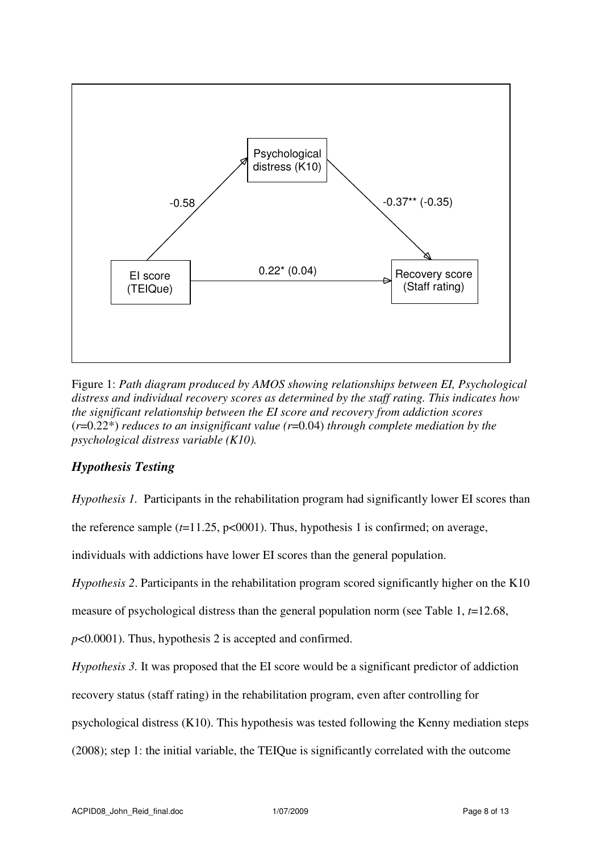

Figure 1: *Path diagram produced by AMOS showing relationships between EI, Psychological distress and individual recovery scores as determined by the staff rating. This indicates how the significant relationship between the EI score and recovery from addiction scores*  (*r*=0.22\*) *reduces to an insignificant value (r*=0.04) *through complete mediation by the psychological distress variable (K10).*

### *Hypothesis Testing*

*Hypothesis 1.* Participants in the rehabilitation program had significantly lower EI scores than

the reference sample  $(t=11.25, p<0.001)$ . Thus, hypothesis 1 is confirmed; on average,

individuals with addictions have lower EI scores than the general population.

*Hypothesis 2*. Participants in the rehabilitation program scored significantly higher on the K10

measure of psychological distress than the general population norm (see Table 1, *t*=12.68,

*p*<0.0001). Thus, hypothesis 2 is accepted and confirmed.

*Hypothesis 3.* It was proposed that the EI score would be a significant predictor of addiction

recovery status (staff rating) in the rehabilitation program, even after controlling for

psychological distress (K10). This hypothesis was tested following the Kenny mediation steps

(2008); step 1: the initial variable, the TEIQue is significantly correlated with the outcome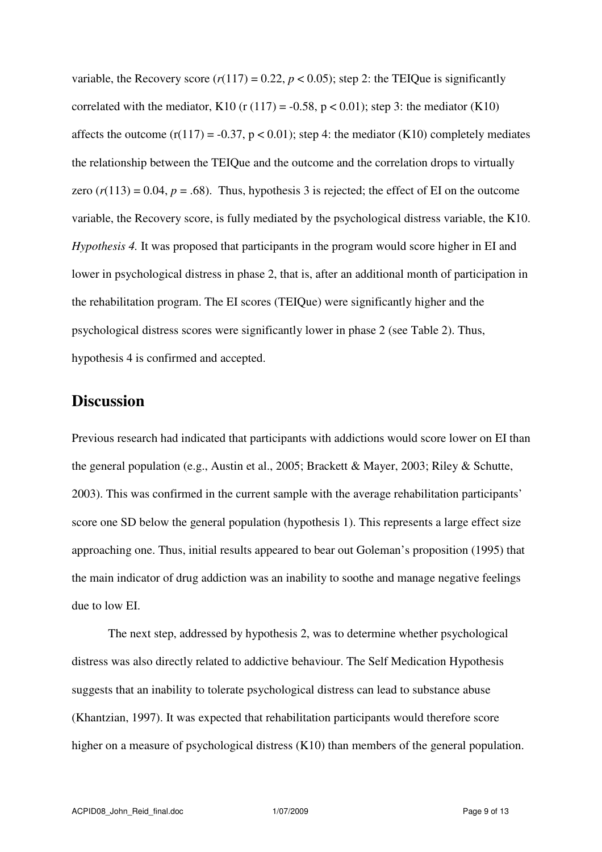variable, the Recovery score  $(r(117) = 0.22, p < 0.05)$ ; step 2: the TEIQue is significantly correlated with the mediator, K10 (r  $(117) = -0.58$ , p < 0.01); step 3: the mediator (K10) affects the outcome  $(r(117) = -0.37, p < 0.01)$ ; step 4: the mediator (K10) completely mediates the relationship between the TEIQue and the outcome and the correlation drops to virtually zero  $(r(113) = 0.04, p = .68)$ . Thus, hypothesis 3 is rejected; the effect of EI on the outcome variable, the Recovery score, is fully mediated by the psychological distress variable, the K10. *Hypothesis 4.* It was proposed that participants in the program would score higher in EI and lower in psychological distress in phase 2, that is, after an additional month of participation in the rehabilitation program. The EI scores (TEIQue) were significantly higher and the psychological distress scores were significantly lower in phase 2 (see Table 2). Thus, hypothesis 4 is confirmed and accepted.

### **Discussion**

Previous research had indicated that participants with addictions would score lower on EI than the general population (e.g., Austin et al., 2005; Brackett & Mayer, 2003; Riley & Schutte, 2003). This was confirmed in the current sample with the average rehabilitation participants' score one SD below the general population (hypothesis 1). This represents a large effect size approaching one. Thus, initial results appeared to bear out Goleman's proposition (1995) that the main indicator of drug addiction was an inability to soothe and manage negative feelings due to low EI.

The next step, addressed by hypothesis 2, was to determine whether psychological distress was also directly related to addictive behaviour. The Self Medication Hypothesis suggests that an inability to tolerate psychological distress can lead to substance abuse (Khantzian, 1997). It was expected that rehabilitation participants would therefore score higher on a measure of psychological distress (K10) than members of the general population.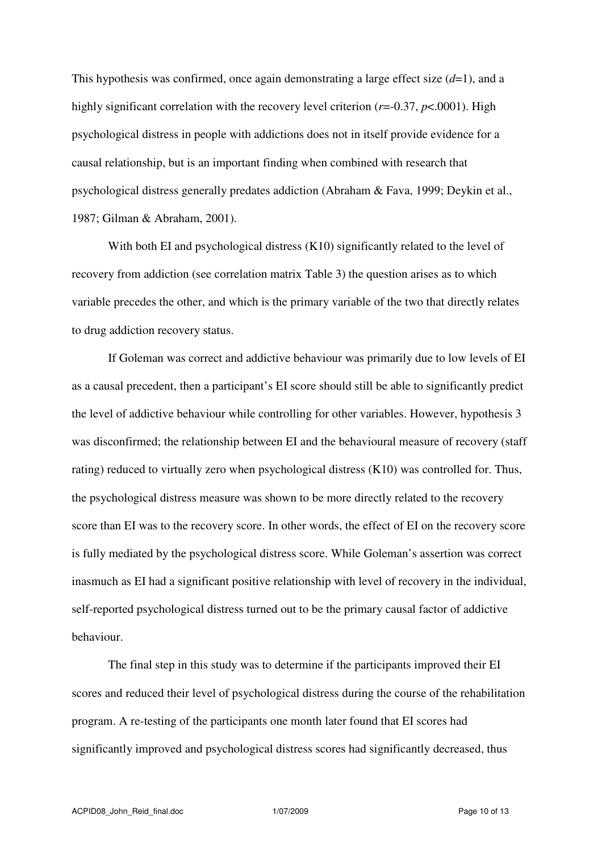This hypothesis was confirmed, once again demonstrating a large effect size (*d*=1), and a highly significant correlation with the recovery level criterion ( $r=0.37$ ,  $p<0.001$ ). High psychological distress in people with addictions does not in itself provide evidence for a causal relationship, but is an important finding when combined with research that psychological distress generally predates addiction (Abraham & Fava, 1999; Deykin et al., 1987; Gilman & Abraham, 2001).

With both EI and psychological distress (K10) significantly related to the level of recovery from addiction (see correlation matrix Table 3) the question arises as to which variable precedes the other, and which is the primary variable of the two that directly relates to drug addiction recovery status.

If Goleman was correct and addictive behaviour was primarily due to low levels of EI as a causal precedent, then a participant's EI score should still be able to significantly predict the level of addictive behaviour while controlling for other variables. However, hypothesis 3 was disconfirmed; the relationship between EI and the behavioural measure of recovery (staff rating) reduced to virtually zero when psychological distress (K10) was controlled for. Thus, the psychological distress measure was shown to be more directly related to the recovery score than EI was to the recovery score. In other words, the effect of EI on the recovery score is fully mediated by the psychological distress score. While Goleman's assertion was correct inasmuch as EI had a significant positive relationship with level of recovery in the individual, self-reported psychological distress turned out to be the primary causal factor of addictive behaviour.

The final step in this study was to determine if the participants improved their EI scores and reduced their level of psychological distress during the course of the rehabilitation program. A re-testing of the participants one month later found that EI scores had significantly improved and psychological distress scores had significantly decreased, thus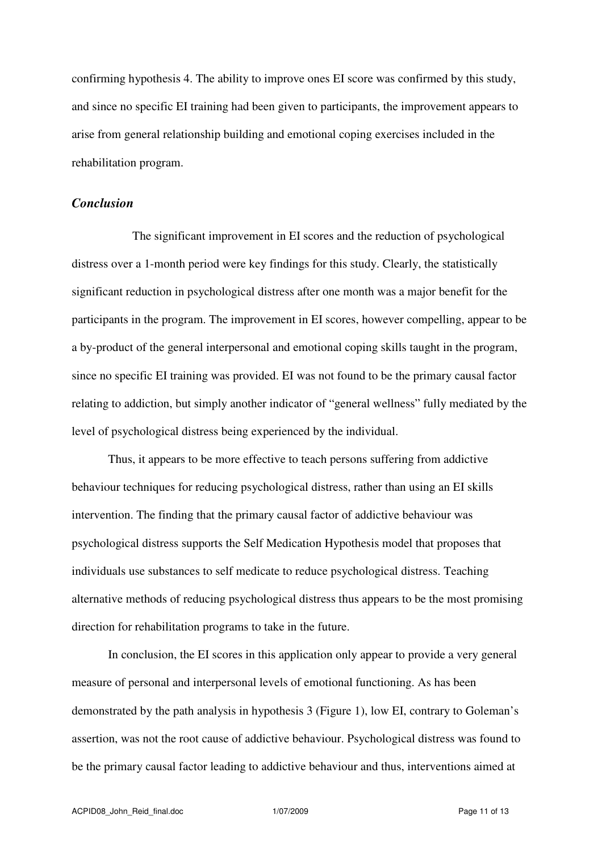confirming hypothesis 4. The ability to improve ones EI score was confirmed by this study, and since no specific EI training had been given to participants, the improvement appears to arise from general relationship building and emotional coping exercises included in the rehabilitation program.

#### *Conclusion*

 The significant improvement in EI scores and the reduction of psychological distress over a 1-month period were key findings for this study. Clearly, the statistically significant reduction in psychological distress after one month was a major benefit for the participants in the program. The improvement in EI scores, however compelling, appear to be a by-product of the general interpersonal and emotional coping skills taught in the program, since no specific EI training was provided. EI was not found to be the primary causal factor relating to addiction, but simply another indicator of "general wellness" fully mediated by the level of psychological distress being experienced by the individual.

Thus, it appears to be more effective to teach persons suffering from addictive behaviour techniques for reducing psychological distress, rather than using an EI skills intervention. The finding that the primary causal factor of addictive behaviour was psychological distress supports the Self Medication Hypothesis model that proposes that individuals use substances to self medicate to reduce psychological distress. Teaching alternative methods of reducing psychological distress thus appears to be the most promising direction for rehabilitation programs to take in the future.

In conclusion, the EI scores in this application only appear to provide a very general measure of personal and interpersonal levels of emotional functioning. As has been demonstrated by the path analysis in hypothesis 3 (Figure 1), low EI, contrary to Goleman's assertion, was not the root cause of addictive behaviour. Psychological distress was found to be the primary causal factor leading to addictive behaviour and thus, interventions aimed at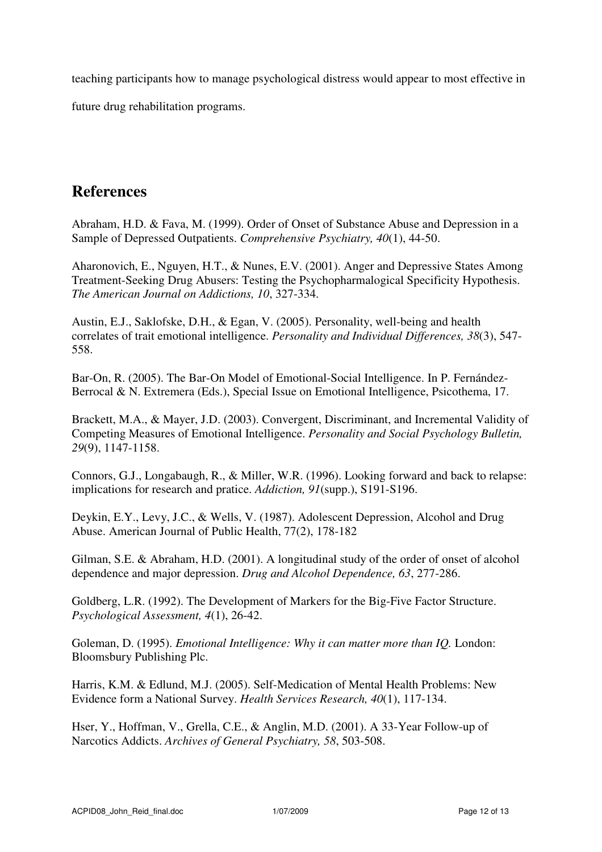teaching participants how to manage psychological distress would appear to most effective in future drug rehabilitation programs.

### **References**

Abraham, H.D. & Fava, M. (1999). Order of Onset of Substance Abuse and Depression in a Sample of Depressed Outpatients. *Comprehensive Psychiatry, 40*(1), 44-50.

Aharonovich, E., Nguyen, H.T., & Nunes, E.V. (2001). Anger and Depressive States Among Treatment-Seeking Drug Abusers: Testing the Psychopharmalogical Specificity Hypothesis. *The American Journal on Addictions, 10*, 327-334.

Austin, E.J., Saklofske, D.H., & Egan, V. (2005). Personality, well-being and health correlates of trait emotional intelligence. *Personality and Individual Differences, 38*(3), 547- 558.

Bar-On, R. (2005). The Bar-On Model of Emotional-Social Intelligence. In P. Fernández-Berrocal & N. Extremera (Eds.), Special Issue on Emotional Intelligence, Psicothema, 17.

Brackett, M.A., & Mayer, J.D. (2003). Convergent, Discriminant, and Incremental Validity of Competing Measures of Emotional Intelligence. *Personality and Social Psychology Bulletin, 29*(9), 1147-1158.

Connors, G.J., Longabaugh, R., & Miller, W.R. (1996). Looking forward and back to relapse: implications for research and pratice. *Addiction, 91*(supp.), S191-S196.

Deykin, E.Y., Levy, J.C., & Wells, V. (1987). Adolescent Depression, Alcohol and Drug Abuse. American Journal of Public Health, 77(2), 178-182

Gilman, S.E. & Abraham, H.D. (2001). A longitudinal study of the order of onset of alcohol dependence and major depression. *Drug and Alcohol Dependence, 63*, 277-286.

Goldberg, L.R. (1992). The Development of Markers for the Big-Five Factor Structure. *Psychological Assessment, 4*(1), 26-42.

Goleman, D. (1995). *Emotional Intelligence: Why it can matter more than IQ.* London: Bloomsbury Publishing Plc.

Harris, K.M. & Edlund, M.J. (2005). Self-Medication of Mental Health Problems: New Evidence form a National Survey. *Health Services Research, 40*(1), 117-134.

Hser, Y., Hoffman, V., Grella, C.E., & Anglin, M.D. (2001). A 33-Year Follow-up of Narcotics Addicts. *Archives of General Psychiatry, 58*, 503-508.